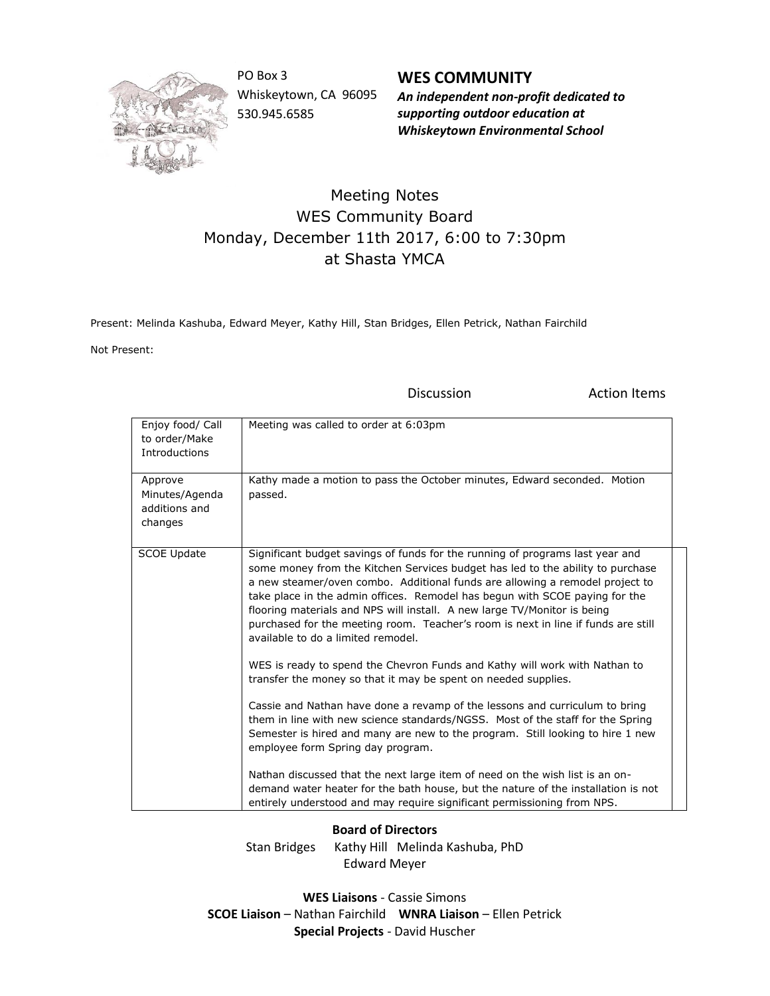

PO Box 3 Whiskeytown, CA 96095 530.945.6585

**WES COMMUNITY** *An independent non-profit dedicated to supporting outdoor education at Whiskeytown Environmental School*

## Meeting Notes WES Community Board Monday, December 11th 2017, 6:00 to 7:30pm at Shasta YMCA

Present: Melinda Kashuba, Edward Meyer, Kathy Hill, Stan Bridges, Ellen Petrick, Nathan Fairchild

Not Present:

Discussion **Action** Items

| Enjoy food/ Call<br>to order/Make<br>Introductions    | Meeting was called to order at 6:03pm                                                                                                                                                                                                                                                                                                                                                                                                                                                                                                 |
|-------------------------------------------------------|---------------------------------------------------------------------------------------------------------------------------------------------------------------------------------------------------------------------------------------------------------------------------------------------------------------------------------------------------------------------------------------------------------------------------------------------------------------------------------------------------------------------------------------|
| Approve<br>Minutes/Agenda<br>additions and<br>changes | Kathy made a motion to pass the October minutes, Edward seconded. Motion<br>passed.                                                                                                                                                                                                                                                                                                                                                                                                                                                   |
| <b>SCOE Update</b>                                    | Significant budget savings of funds for the running of programs last year and<br>some money from the Kitchen Services budget has led to the ability to purchase<br>a new steamer/oven combo. Additional funds are allowing a remodel project to<br>take place in the admin offices. Remodel has begun with SCOE paying for the<br>flooring materials and NPS will install. A new large TV/Monitor is being<br>purchased for the meeting room. Teacher's room is next in line if funds are still<br>available to do a limited remodel. |
|                                                       | WES is ready to spend the Chevron Funds and Kathy will work with Nathan to<br>transfer the money so that it may be spent on needed supplies.                                                                                                                                                                                                                                                                                                                                                                                          |
|                                                       | Cassie and Nathan have done a revamp of the lessons and curriculum to bring<br>them in line with new science standards/NGSS. Most of the staff for the Spring<br>Semester is hired and many are new to the program. Still looking to hire 1 new<br>employee form Spring day program.                                                                                                                                                                                                                                                  |
|                                                       | Nathan discussed that the next large item of need on the wish list is an on-<br>demand water heater for the bath house, but the nature of the installation is not<br>entirely understood and may require significant permissioning from NPS.                                                                                                                                                                                                                                                                                          |

## **Board of Directors**

Stan Bridges Kathy Hill Melinda Kashuba, PhD Edward Meyer

**WES Liaisons** - Cassie Simons **SCOE Liaison** – Nathan Fairchild **WNRA Liaison** – Ellen Petrick **Special Projects** - David Huscher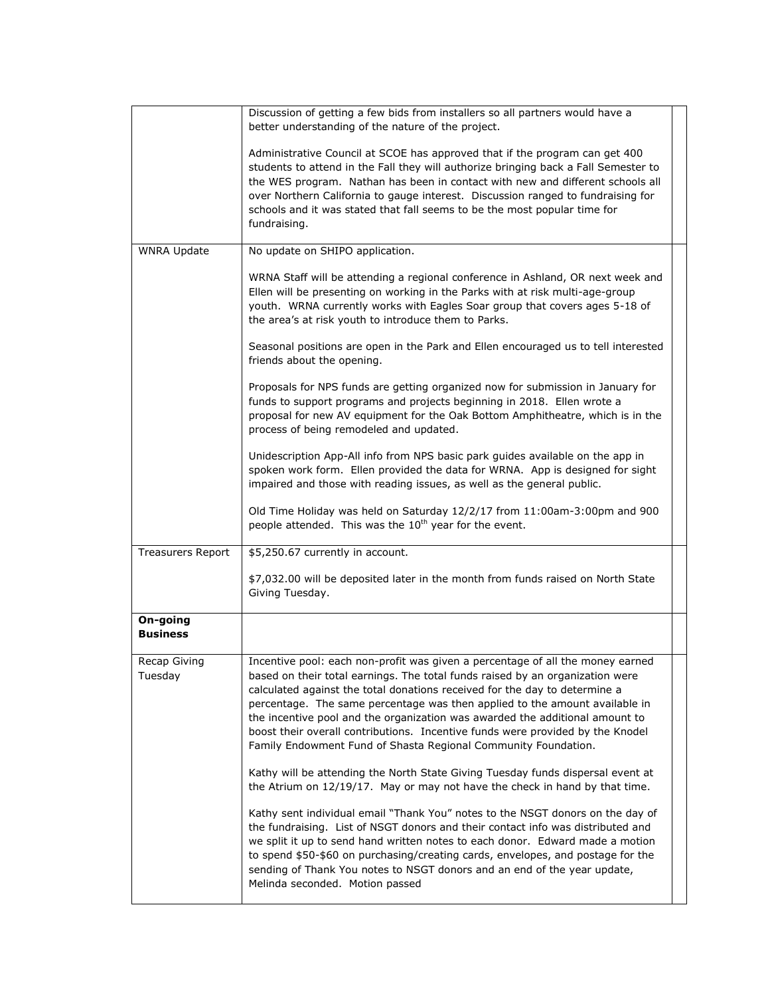|                          | Discussion of getting a few bids from installers so all partners would have a<br>better understanding of the nature of the project.                                                                                                                                                                                                                                                                                                                                                                                                                                                                                                                                                                                                                                                                                                                                                                                                                                                                                                                                                                                                                                                        |  |
|--------------------------|--------------------------------------------------------------------------------------------------------------------------------------------------------------------------------------------------------------------------------------------------------------------------------------------------------------------------------------------------------------------------------------------------------------------------------------------------------------------------------------------------------------------------------------------------------------------------------------------------------------------------------------------------------------------------------------------------------------------------------------------------------------------------------------------------------------------------------------------------------------------------------------------------------------------------------------------------------------------------------------------------------------------------------------------------------------------------------------------------------------------------------------------------------------------------------------------|--|
|                          | Administrative Council at SCOE has approved that if the program can get 400<br>students to attend in the Fall they will authorize bringing back a Fall Semester to<br>the WES program. Nathan has been in contact with new and different schools all<br>over Northern California to gauge interest. Discussion ranged to fundraising for<br>schools and it was stated that fall seems to be the most popular time for<br>fundraising.                                                                                                                                                                                                                                                                                                                                                                                                                                                                                                                                                                                                                                                                                                                                                      |  |
| <b>WNRA Update</b>       | No update on SHIPO application.                                                                                                                                                                                                                                                                                                                                                                                                                                                                                                                                                                                                                                                                                                                                                                                                                                                                                                                                                                                                                                                                                                                                                            |  |
|                          | WRNA Staff will be attending a regional conference in Ashland, OR next week and<br>Ellen will be presenting on working in the Parks with at risk multi-age-group<br>youth. WRNA currently works with Eagles Soar group that covers ages 5-18 of<br>the area's at risk youth to introduce them to Parks.                                                                                                                                                                                                                                                                                                                                                                                                                                                                                                                                                                                                                                                                                                                                                                                                                                                                                    |  |
|                          | Seasonal positions are open in the Park and Ellen encouraged us to tell interested<br>friends about the opening.                                                                                                                                                                                                                                                                                                                                                                                                                                                                                                                                                                                                                                                                                                                                                                                                                                                                                                                                                                                                                                                                           |  |
|                          | Proposals for NPS funds are getting organized now for submission in January for<br>funds to support programs and projects beginning in 2018. Ellen wrote a<br>proposal for new AV equipment for the Oak Bottom Amphitheatre, which is in the<br>process of being remodeled and updated.                                                                                                                                                                                                                                                                                                                                                                                                                                                                                                                                                                                                                                                                                                                                                                                                                                                                                                    |  |
|                          | Unidescription App-All info from NPS basic park guides available on the app in<br>spoken work form. Ellen provided the data for WRNA. App is designed for sight<br>impaired and those with reading issues, as well as the general public.                                                                                                                                                                                                                                                                                                                                                                                                                                                                                                                                                                                                                                                                                                                                                                                                                                                                                                                                                  |  |
|                          | Old Time Holiday was held on Saturday 12/2/17 from 11:00am-3:00pm and 900<br>people attended. This was the 10 <sup>th</sup> year for the event.                                                                                                                                                                                                                                                                                                                                                                                                                                                                                                                                                                                                                                                                                                                                                                                                                                                                                                                                                                                                                                            |  |
| <b>Treasurers Report</b> | \$5,250.67 currently in account.                                                                                                                                                                                                                                                                                                                                                                                                                                                                                                                                                                                                                                                                                                                                                                                                                                                                                                                                                                                                                                                                                                                                                           |  |
|                          | \$7,032.00 will be deposited later in the month from funds raised on North State<br>Giving Tuesday.                                                                                                                                                                                                                                                                                                                                                                                                                                                                                                                                                                                                                                                                                                                                                                                                                                                                                                                                                                                                                                                                                        |  |
| On-going<br>Business     |                                                                                                                                                                                                                                                                                                                                                                                                                                                                                                                                                                                                                                                                                                                                                                                                                                                                                                                                                                                                                                                                                                                                                                                            |  |
| Recap Giving<br>Tuesday  | Incentive pool: each non-profit was given a percentage of all the money earned<br>based on their total earnings. The total funds raised by an organization were<br>calculated against the total donations received for the day to determine a<br>percentage. The same percentage was then applied to the amount available in<br>the incentive pool and the organization was awarded the additional amount to<br>boost their overall contributions. Incentive funds were provided by the Knodel<br>Family Endowment Fund of Shasta Regional Community Foundation.<br>Kathy will be attending the North State Giving Tuesday funds dispersal event at<br>the Atrium on 12/19/17. May or may not have the check in hand by that time.<br>Kathy sent individual email "Thank You" notes to the NSGT donors on the day of<br>the fundraising. List of NSGT donors and their contact info was distributed and<br>we split it up to send hand written notes to each donor. Edward made a motion<br>to spend \$50-\$60 on purchasing/creating cards, envelopes, and postage for the<br>sending of Thank You notes to NSGT donors and an end of the year update,<br>Melinda seconded. Motion passed |  |